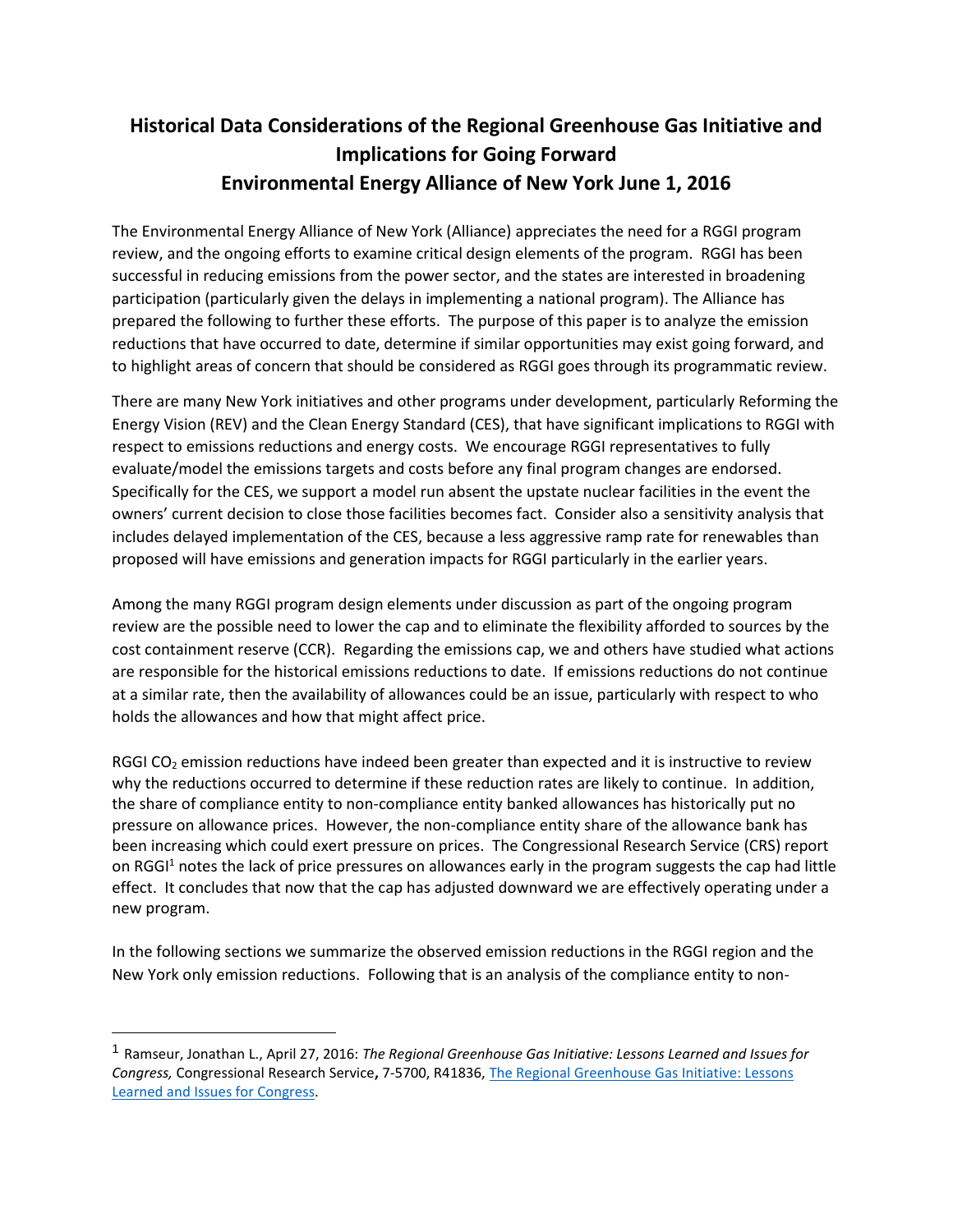# **Historical Data Considerations of the Regional Greenhouse Gas Initiative and Implications for Going Forward Environmental Energy Alliance of New York June 1, 2016**

The Environmental Energy Alliance of New York (Alliance) appreciates the need for a RGGI program review, and the ongoing efforts to examine critical design elements of the program. RGGI has been successful in reducing emissions from the power sector, and the states are interested in broadening participation (particularly given the delays in implementing a national program). The Alliance has prepared the following to further these efforts. The purpose of this paper is to analyze the emission reductions that have occurred to date, determine if similar opportunities may exist going forward, and to highlight areas of concern that should be considered as RGGI goes through its programmatic review.

There are many New York initiatives and other programs under development, particularly Reforming the Energy Vision (REV) and the Clean Energy Standard (CES), that have significant implications to RGGI with respect to emissions reductions and energy costs. We encourage RGGI representatives to fully evaluate/model the emissions targets and costs before any final program changes are endorsed. Specifically for the CES, we support a model run absent the upstate nuclear facilities in the event the owners' current decision to close those facilities becomes fact. Consider also a sensitivity analysis that includes delayed implementation of the CES, because a less aggressive ramp rate for renewables than proposed will have emissions and generation impacts for RGGI particularly in the earlier years.

Among the many RGGI program design elements under discussion as part of the ongoing program review are the possible need to lower the cap and to eliminate the flexibility afforded to sources by the cost containment reserve (CCR). Regarding the emissions cap, we and others have studied what actions are responsible for the historical emissions reductions to date. If emissions reductions do not continue at a similar rate, then the availability of allowances could be an issue, particularly with respect to who holds the allowances and how that might affect price.

RGGI CO<sub>2</sub> emission reductions have indeed been greater than expected and it is instructive to review why the reductions occurred to determine if these reduction rates are likely to continue. In addition, the share of compliance entity to non-compliance entity banked allowances has historically put no pressure on allowance prices. However, the non-compliance entity share of the allowance bank has been increasing which could exert pressure on prices. The Congressional Research Service (CRS) report on RGGI<sup>1</sup> notes the lack of price pressures on allowances early in the program suggests the cap had little effect. It concludes that now that the cap has adjusted downward we are effectively operating under a new program.

In the following sections we summarize the observed emission reductions in the RGGI region and the New York only emission reductions. Following that is an analysis of the compliance entity to non-

 $\overline{\phantom{a}}$ 

<sup>1</sup> Ramseur, Jonathan L., April 27, 2016: *The Regional Greenhouse Gas Initiative: Lessons Learned and Issues for Congress,* Congressional Research Service**,** 7-5700, R41836, [The Regional Greenhouse Gas Initiative: Lessons](https://www.fas.org/sgp/crs/misc/R41836.pdf) [Learned and Issues for Congress.](https://www.fas.org/sgp/crs/misc/R41836.pdf)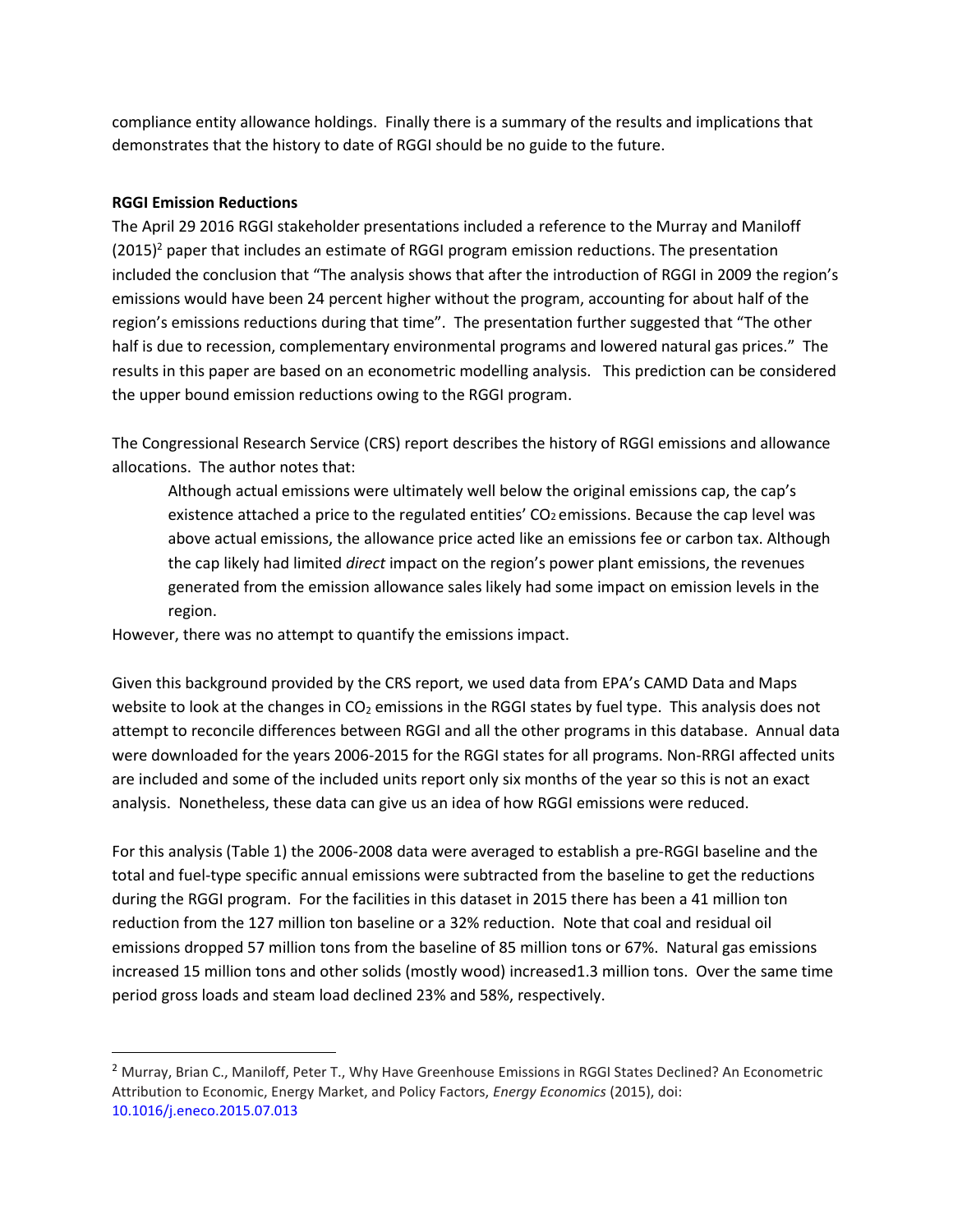compliance entity allowance holdings. Finally there is a summary of the results and implications that demonstrates that the history to date of RGGI should be no guide to the future.

# **RGGI Emission Reductions**

 $\overline{\phantom{a}}$ 

The April 29 2016 RGGI stakeholder presentations included a reference to the Murray and Maniloff  $(2015)^2$  paper that includes an estimate of RGGI program emission reductions. The presentation included the conclusion that "The analysis shows that after the introduction of RGGI in 2009 the region's emissions would have been 24 percent higher without the program, accounting for about half of the region's emissions reductions during that time". The presentation further suggested that "The other half is due to recession, complementary environmental programs and lowered natural gas prices." The results in this paper are based on an econometric modelling analysis. This prediction can be considered the upper bound emission reductions owing to the RGGI program.

The Congressional Research Service (CRS) report describes the history of RGGI emissions and allowance allocations. The author notes that:

Although actual emissions were ultimately well below the original emissions cap, the cap's existence attached a price to the regulated entities'  $CO<sub>2</sub>$  emissions. Because the cap level was above actual emissions, the allowance price acted like an emissions fee or carbon tax. Although the cap likely had limited *direct* impact on the region's power plant emissions, the revenues generated from the emission allowance sales likely had some impact on emission levels in the region.

However, there was no attempt to quantify the emissions impact.

Given this background provided by the CRS report, we used data from EPA's CAMD Data and Maps website to look at the changes in CO<sub>2</sub> emissions in the RGGI states by fuel type. This analysis does not attempt to reconcile differences between RGGI and all the other programs in this database. Annual data were downloaded for the years 2006-2015 for the RGGI states for all programs. Non-RRGI affected units are included and some of the included units report only six months of the year so this is not an exact analysis. Nonetheless, these data can give us an idea of how RGGI emissions were reduced.

For this analysis (Table 1) the 2006-2008 data were averaged to establish a pre-RGGI baseline and the total and fuel-type specific annual emissions were subtracted from the baseline to get the reductions during the RGGI program. For the facilities in this dataset in 2015 there has been a 41 million ton reduction from the 127 million ton baseline or a 32% reduction. Note that coal and residual oil emissions dropped 57 million tons from the baseline of 85 million tons or 67%. Natural gas emissions increased 15 million tons and other solids (mostly wood) increased1.3 million tons. Over the same time period gross loads and steam load declined 23% and 58%, respectively.

<sup>2</sup> Murray, Brian C., Maniloff, Peter T., Why Have Greenhouse Emissions in RGGI States Declined? An Econometric Attribution to Economic, Energy Market, and Policy Factors, *Energy Economics* (2015), doi: 10.1016/j.eneco.2015.07.013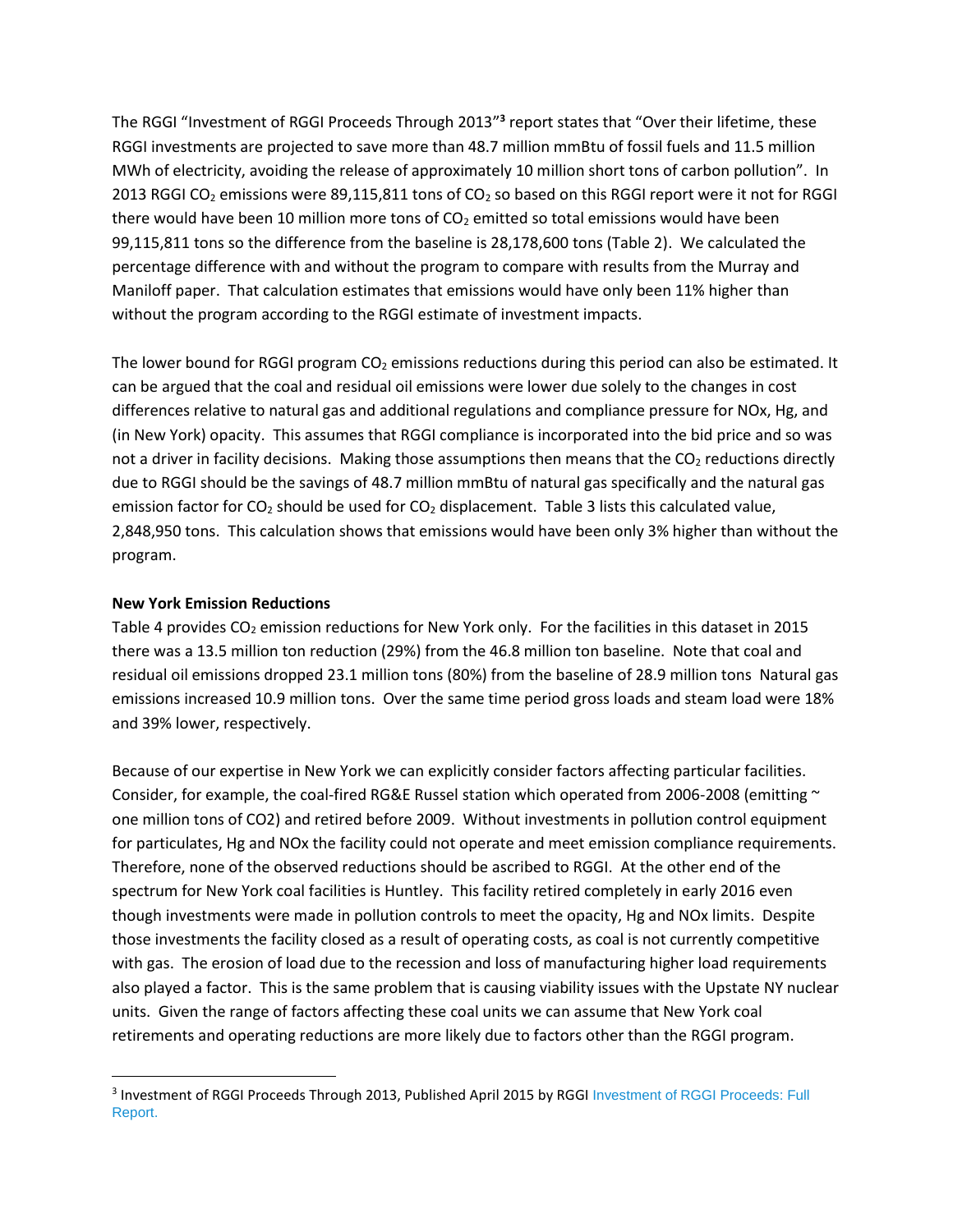The RGGI "Investment of RGGI Proceeds Through 2013" **3** report states that "Over their lifetime, these RGGI investments are projected to save more than 48.7 million mmBtu of fossil fuels and 11.5 million MWh of electricity, avoiding the release of approximately 10 million short tons of carbon pollution". In 2013 RGGI CO<sub>2</sub> emissions were 89,115,811 tons of CO<sub>2</sub> so based on this RGGI report were it not for RGGI there would have been 10 million more tons of  $CO<sub>2</sub>$  emitted so total emissions would have been 99,115,811 tons so the difference from the baseline is 28,178,600 tons (Table 2). We calculated the percentage difference with and without the program to compare with results from the Murray and Maniloff paper. That calculation estimates that emissions would have only been 11% higher than without the program according to the RGGI estimate of investment impacts.

The lower bound for RGGI program  $CO<sub>2</sub>$  emissions reductions during this period can also be estimated. It can be argued that the coal and residual oil emissions were lower due solely to the changes in cost differences relative to natural gas and additional regulations and compliance pressure for NOx, Hg, and (in New York) opacity. This assumes that RGGI compliance is incorporated into the bid price and so was not a driver in facility decisions. Making those assumptions then means that the  $CO<sub>2</sub>$  reductions directly due to RGGI should be the savings of 48.7 million mmBtu of natural gas specifically and the natural gas emission factor for CO<sub>2</sub> should be used for CO<sub>2</sub> displacement. Table 3 lists this calculated value, 2,848,950 tons. This calculation shows that emissions would have been only 3% higher than without the program.

### **New York Emission Reductions**

 $\overline{a}$ 

Table 4 provides  $CO<sub>2</sub>$  emission reductions for New York only. For the facilities in this dataset in 2015 there was a 13.5 million ton reduction (29%) from the 46.8 million ton baseline. Note that coal and residual oil emissions dropped 23.1 million tons (80%) from the baseline of 28.9 million tons Natural gas emissions increased 10.9 million tons. Over the same time period gross loads and steam load were 18% and 39% lower, respectively.

Because of our expertise in New York we can explicitly consider factors affecting particular facilities. Consider, for example, the coal-fired RG&E Russel station which operated from 2006-2008 (emitting  $\sim$ one million tons of CO2) and retired before 2009. Without investments in pollution control equipment for particulates, Hg and NOx the facility could not operate and meet emission compliance requirements. Therefore, none of the observed reductions should be ascribed to RGGI. At the other end of the spectrum for New York coal facilities is Huntley. This facility retired completely in early 2016 even though investments were made in pollution controls to meet the opacity, Hg and NOx limits. Despite those investments the facility closed as a result of operating costs, as coal is not currently competitive with gas. The erosion of load due to the recession and loss of manufacturing higher load requirements also played a factor. This is the same problem that is causing viability issues with the Upstate NY nuclear units. Given the range of factors affecting these coal units we can assume that New York coal retirements and operating reductions are more likely due to factors other than the RGGI program.

<sup>&</sup>lt;sup>3</sup> Investment of RGGI Proceeds Through 2013, Published April 2015 by RGGI Investment of RGGI Proceeds: Full [Report.](https://www.rggi.org/docs/ProceedsReport/Investment-RGGI-Proceeds-Through-2013.pdf)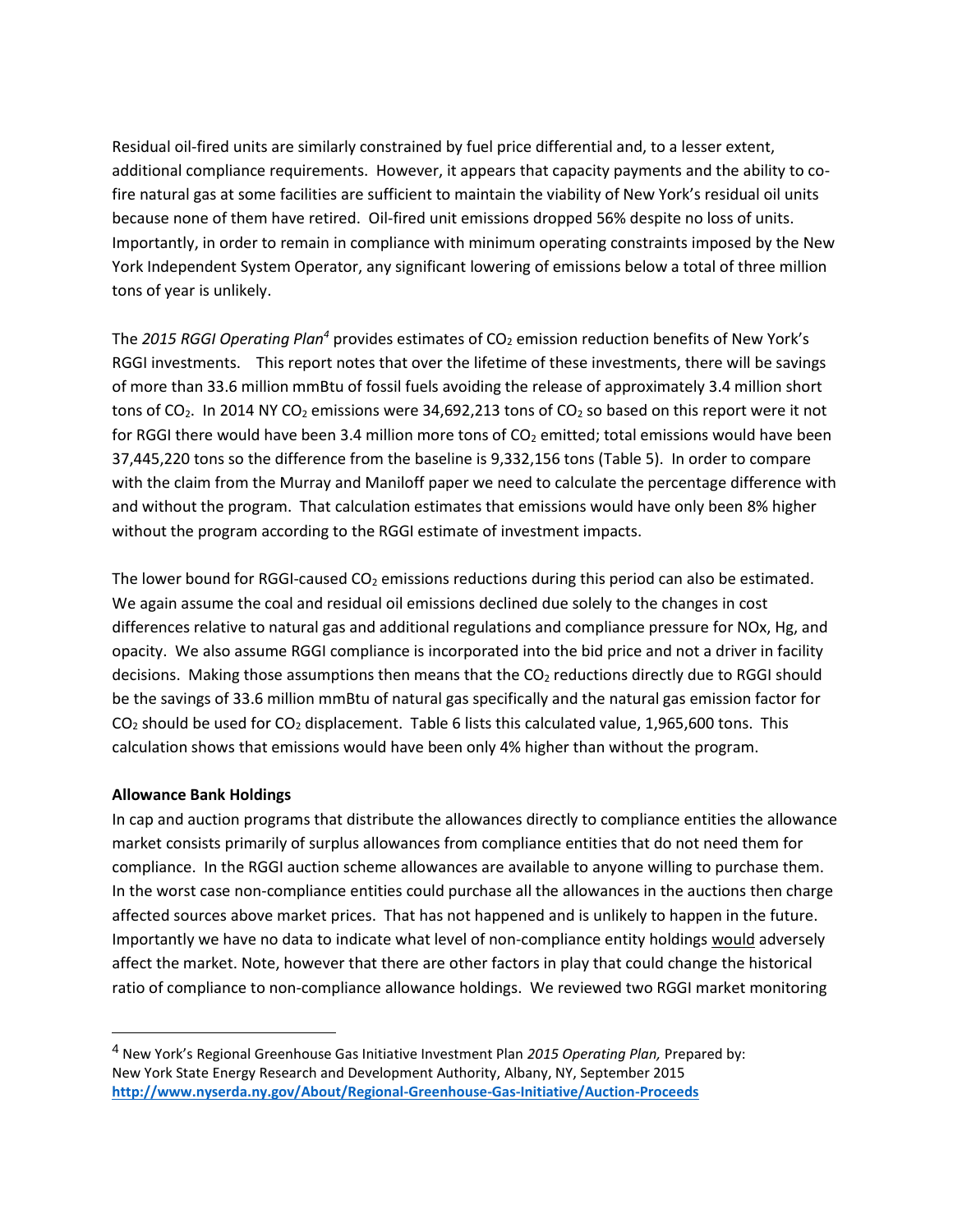Residual oil-fired units are similarly constrained by fuel price differential and, to a lesser extent, additional compliance requirements. However, it appears that capacity payments and the ability to cofire natural gas at some facilities are sufficient to maintain the viability of New York's residual oil units because none of them have retired. Oil-fired unit emissions dropped 56% despite no loss of units. Importantly, in order to remain in compliance with minimum operating constraints imposed by the New York Independent System Operator, any significant lowering of emissions below a total of three million tons of year is unlikely.

The 2015 RGGI Operating Plan<sup>4</sup> provides estimates of CO<sub>2</sub> emission reduction benefits of New York's RGGI investments. This report notes that over the lifetime of these investments, there will be savings of more than 33.6 million mmBtu of fossil fuels avoiding the release of approximately 3.4 million short tons of CO<sub>2</sub>. In 2014 NY CO<sub>2</sub> emissions were 34,692,213 tons of CO<sub>2</sub> so based on this report were it not for RGGI there would have been 3.4 million more tons of  $CO<sub>2</sub>$  emitted; total emissions would have been 37,445,220 tons so the difference from the baseline is 9,332,156 tons (Table 5). In order to compare with the claim from the Murray and Maniloff paper we need to calculate the percentage difference with and without the program. That calculation estimates that emissions would have only been 8% higher without the program according to the RGGI estimate of investment impacts.

The lower bound for RGGI-caused  $CO<sub>2</sub>$  emissions reductions during this period can also be estimated. We again assume the coal and residual oil emissions declined due solely to the changes in cost differences relative to natural gas and additional regulations and compliance pressure for NOx, Hg, and opacity. We also assume RGGI compliance is incorporated into the bid price and not a driver in facility decisions. Making those assumptions then means that the CO<sub>2</sub> reductions directly due to RGGI should be the savings of 33.6 million mmBtu of natural gas specifically and the natural gas emission factor for  $CO<sub>2</sub>$  should be used for  $CO<sub>2</sub>$  displacement. Table 6 lists this calculated value, 1,965,600 tons. This calculation shows that emissions would have been only 4% higher than without the program.

#### **Allowance Bank Holdings**

 $\overline{\phantom{a}}$ 

In cap and auction programs that distribute the allowances directly to compliance entities the allowance market consists primarily of surplus allowances from compliance entities that do not need them for compliance. In the RGGI auction scheme allowances are available to anyone willing to purchase them. In the worst case non-compliance entities could purchase all the allowances in the auctions then charge affected sources above market prices. That has not happened and is unlikely to happen in the future. Importantly we have no data to indicate what level of non-compliance entity holdings would adversely affect the market. Note, however that there are other factors in play that could change the historical ratio of compliance to non-compliance allowance holdings. We reviewed two RGGI market monitoring

<sup>4</sup> New York's Regional Greenhouse Gas Initiative Investment Plan *2015 Operating Plan,* Prepared by: New York State Energy Research and Development Authority, Albany, NY, September 2015 **<http://www.nyserda.ny.gov/About/Regional-Greenhouse-Gas-Initiative/Auction-Proceeds>**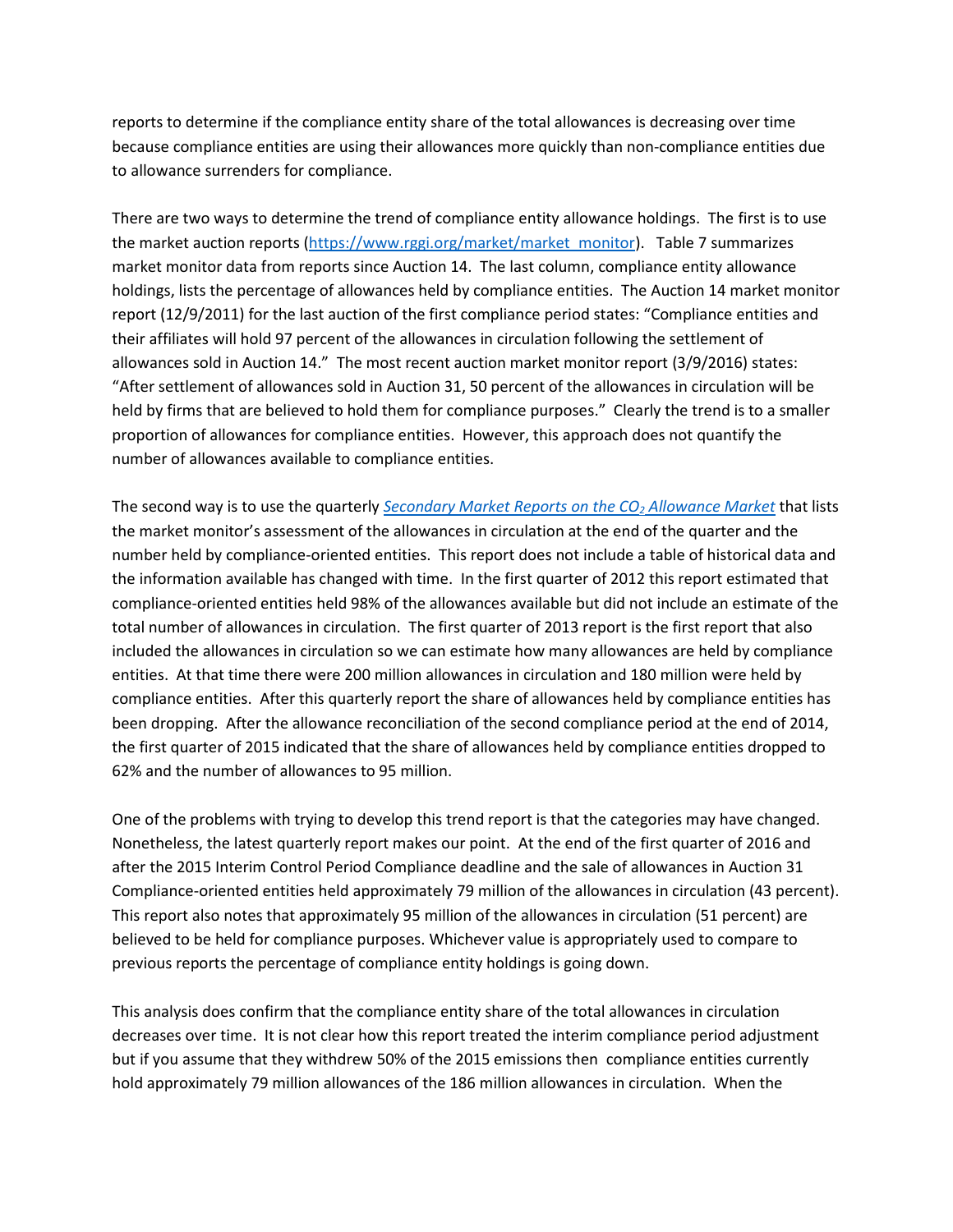reports to determine if the compliance entity share of the total allowances is decreasing over time because compliance entities are using their allowances more quickly than non-compliance entities due to allowance surrenders for compliance.

There are two ways to determine the trend of compliance entity allowance holdings. The first is to use the market auction reports [\(https://www.rggi.org/market/market\\_monitor\)](https://www.rggi.org/market/market_monitor). Table 7 summarizes market monitor data from reports since Auction 14. The last column, compliance entity allowance holdings, lists the percentage of allowances held by compliance entities. The Auction 14 market monitor report (12/9/2011) for the last auction of the first compliance period states: "Compliance entities and their affiliates will hold 97 percent of the allowances in circulation following the settlement of allowances sold in Auction 14." The most recent auction market monitor report (3/9/2016) states: "After settlement of allowances sold in Auction 31, 50 percent of the allowances in circulation will be held by firms that are believed to hold them for compliance purposes." Clearly the trend is to a smaller proportion of allowances for compliance entities. However, this approach does not quantify the number of allowances available to compliance entities.

The second way is to use the quarterly *[Secondary Market Reports on the CO](http://www.rggi.org/docs/Market/MM_Secondary_Market_Report_2016_Q1.pdf)<sup>2</sup> Allowance Market* that lists the market monitor's assessment of the allowances in circulation at the end of the quarter and the number held by compliance-oriented entities. This report does not include a table of historical data and the information available has changed with time. In the first quarter of 2012 this report estimated that compliance-oriented entities held 98% of the allowances available but did not include an estimate of the total number of allowances in circulation. The first quarter of 2013 report is the first report that also included the allowances in circulation so we can estimate how many allowances are held by compliance entities. At that time there were 200 million allowances in circulation and 180 million were held by compliance entities. After this quarterly report the share of allowances held by compliance entities has been dropping. After the allowance reconciliation of the second compliance period at the end of 2014, the first quarter of 2015 indicated that the share of allowances held by compliance entities dropped to 62% and the number of allowances to 95 million.

One of the problems with trying to develop this trend report is that the categories may have changed. Nonetheless, the latest quarterly report makes our point. At the end of the first quarter of 2016 and after the 2015 Interim Control Period Compliance deadline and the sale of allowances in Auction 31 Compliance-oriented entities held approximately 79 million of the allowances in circulation (43 percent). This report also notes that approximately 95 million of the allowances in circulation (51 percent) are believed to be held for compliance purposes. Whichever value is appropriately used to compare to previous reports the percentage of compliance entity holdings is going down.

This analysis does confirm that the compliance entity share of the total allowances in circulation decreases over time. It is not clear how this report treated the interim compliance period adjustment but if you assume that they withdrew 50% of the 2015 emissions then compliance entities currently hold approximately 79 million allowances of the 186 million allowances in circulation. When the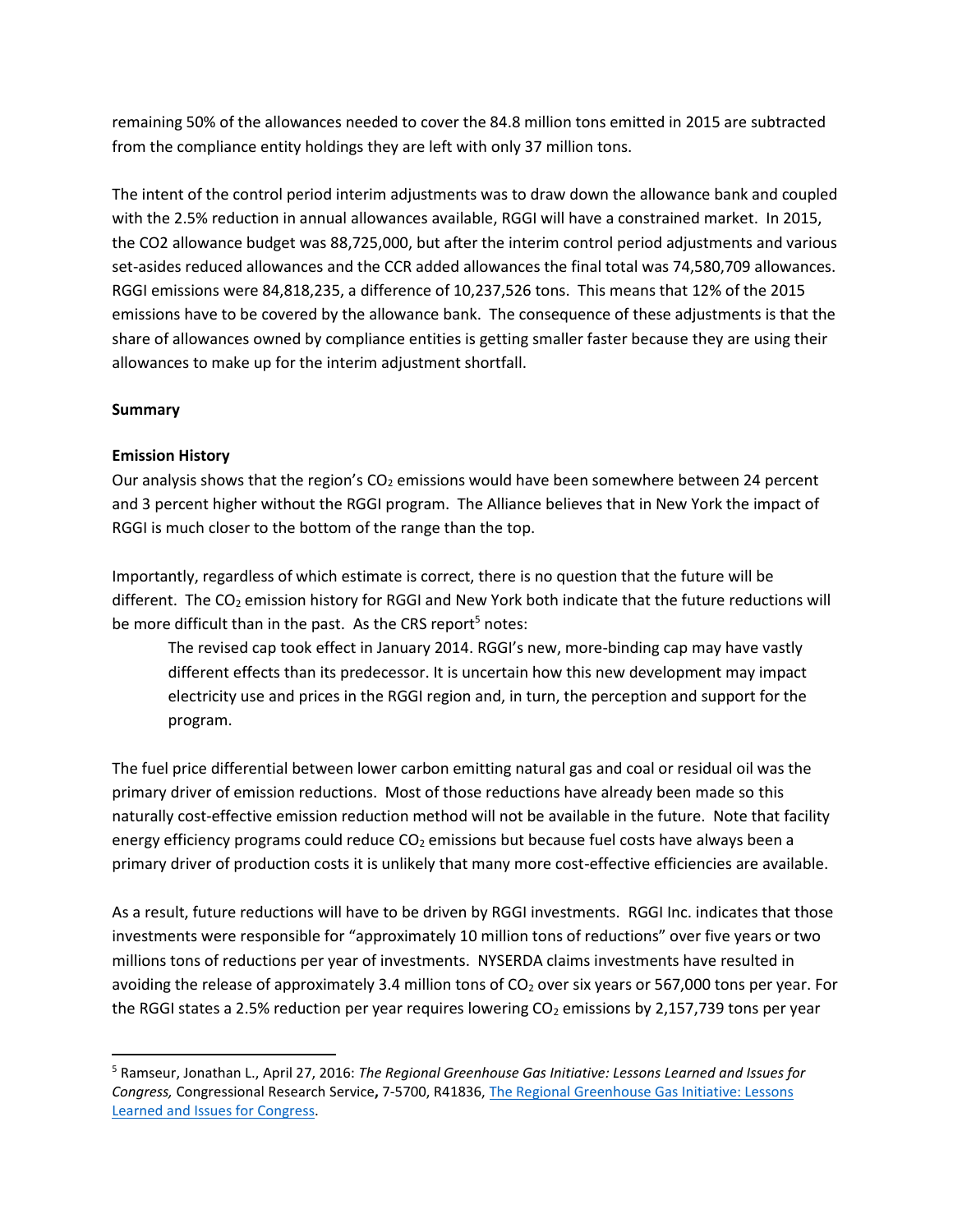remaining 50% of the allowances needed to cover the 84.8 million tons emitted in 2015 are subtracted from the compliance entity holdings they are left with only 37 million tons.

The intent of the control period interim adjustments was to draw down the allowance bank and coupled with the 2.5% reduction in annual allowances available, RGGI will have a constrained market. In 2015, the CO2 allowance budget was 88,725,000, but after the interim control period adjustments and various set-asides reduced allowances and the CCR added allowances the final total was 74,580,709 allowances. RGGI emissions were 84,818,235, a difference of 10,237,526 tons. This means that 12% of the 2015 emissions have to be covered by the allowance bank. The consequence of these adjustments is that the share of allowances owned by compliance entities is getting smaller faster because they are using their allowances to make up for the interim adjustment shortfall.

# **Summary**

 $\overline{\phantom{a}}$ 

# **Emission History**

Our analysis shows that the region's  $CO<sub>2</sub>$  emissions would have been somewhere between 24 percent and 3 percent higher without the RGGI program. The Alliance believes that in New York the impact of RGGI is much closer to the bottom of the range than the top.

Importantly, regardless of which estimate is correct, there is no question that the future will be different. The  $CO<sub>2</sub>$  emission history for RGGI and New York both indicate that the future reductions will be more difficult than in the past. As the CRS report<sup>5</sup> notes:

The revised cap took effect in January 2014. RGGI's new, more-binding cap may have vastly different effects than its predecessor. It is uncertain how this new development may impact electricity use and prices in the RGGI region and, in turn, the perception and support for the program.

The fuel price differential between lower carbon emitting natural gas and coal or residual oil was the primary driver of emission reductions. Most of those reductions have already been made so this naturally cost-effective emission reduction method will not be available in the future. Note that facility energy efficiency programs could reduce  $CO<sub>2</sub>$  emissions but because fuel costs have always been a primary driver of production costs it is unlikely that many more cost-effective efficiencies are available.

As a result, future reductions will have to be driven by RGGI investments. RGGI Inc. indicates that those investments were responsible for "approximately 10 million tons of reductions" over five years or two millions tons of reductions per year of investments. NYSERDA claims investments have resulted in avoiding the release of approximately 3.4 million tons of CO<sub>2</sub> over six years or 567,000 tons per year. For the RGGI states a 2.5% reduction per year requires lowering  $CO<sub>2</sub>$  emissions by 2,157,739 tons per year

<sup>5</sup> Ramseur, Jonathan L., April 27, 2016: *The Regional Greenhouse Gas Initiative: Lessons Learned and Issues for Congress,* Congressional Research Service**,** 7-5700, R41836, [The Regional Greenhouse Gas Initiative: Lessons](https://www.fas.org/sgp/crs/misc/R41836.pdf)  [Learned and Issues for Congress.](https://www.fas.org/sgp/crs/misc/R41836.pdf)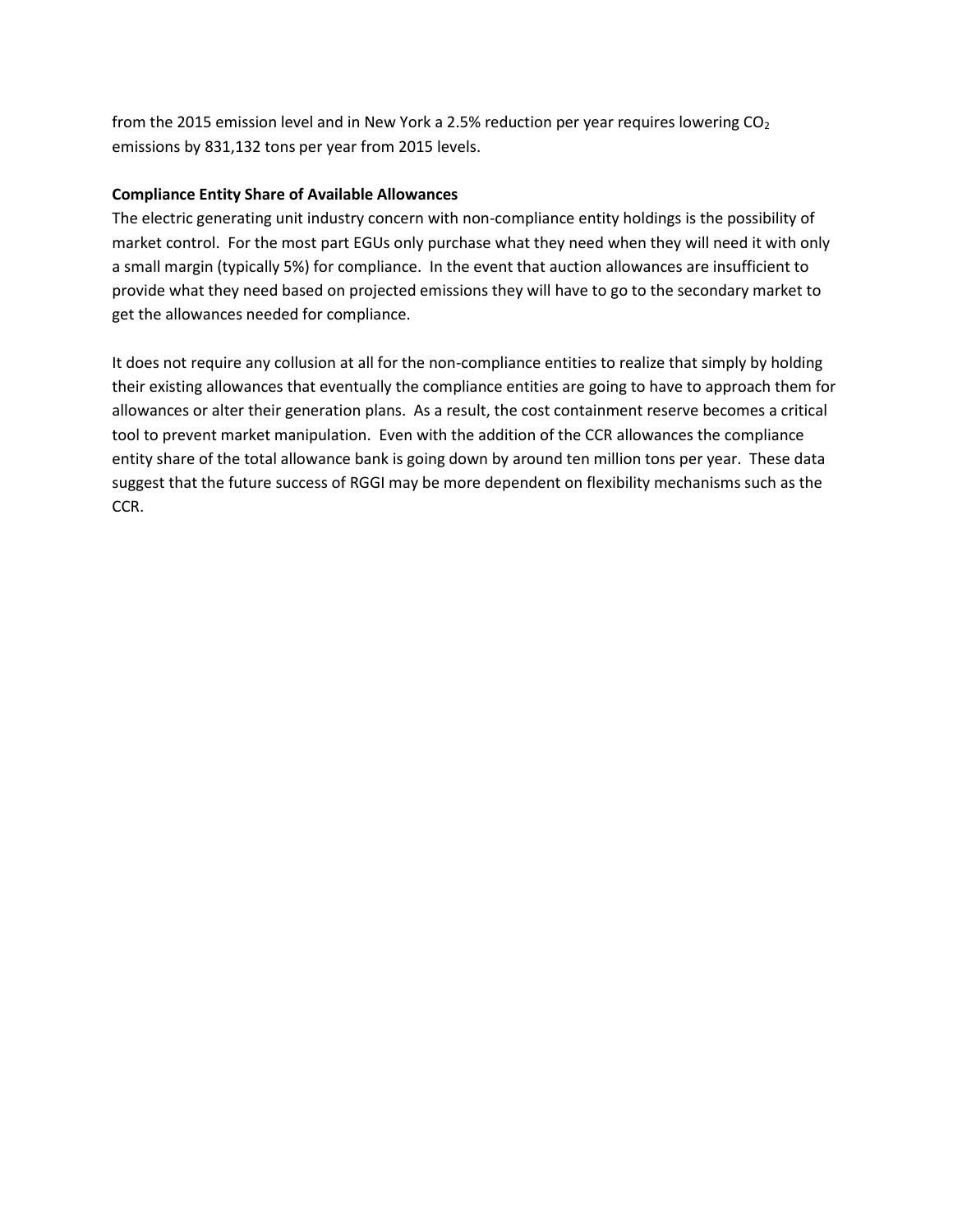from the 2015 emission level and in New York a 2.5% reduction per year requires lowering  $CO<sub>2</sub>$ emissions by 831,132 tons per year from 2015 levels.

# **Compliance Entity Share of Available Allowances**

The electric generating unit industry concern with non-compliance entity holdings is the possibility of market control. For the most part EGUs only purchase what they need when they will need it with only a small margin (typically 5%) for compliance. In the event that auction allowances are insufficient to provide what they need based on projected emissions they will have to go to the secondary market to get the allowances needed for compliance.

It does not require any collusion at all for the non-compliance entities to realize that simply by holding their existing allowances that eventually the compliance entities are going to have to approach them for allowances or alter their generation plans. As a result, the cost containment reserve becomes a critical tool to prevent market manipulation. Even with the addition of the CCR allowances the compliance entity share of the total allowance bank is going down by around ten million tons per year. These data suggest that the future success of RGGI may be more dependent on flexibility mechanisms such as the CCR.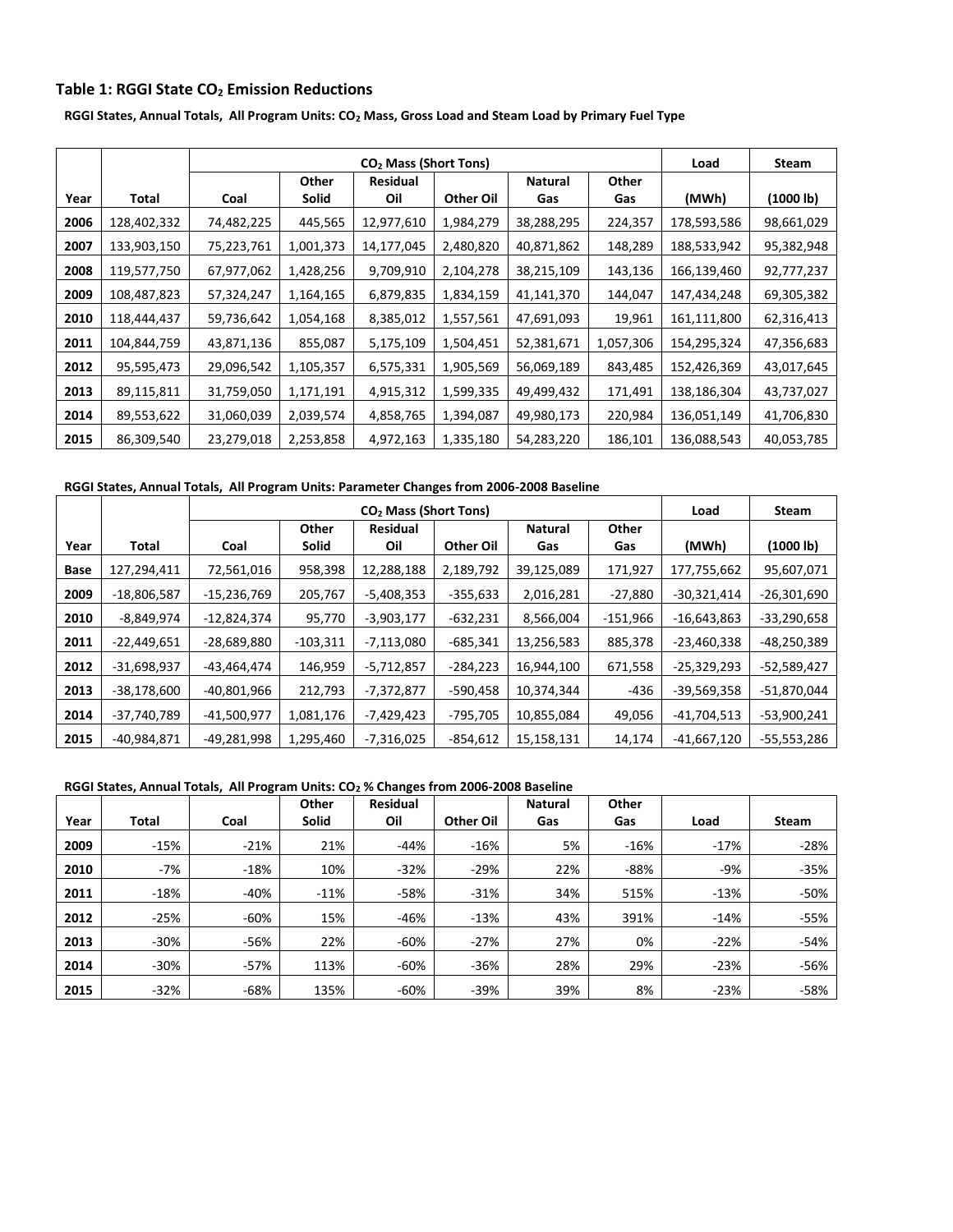### **Table 1: RGGI State CO<sup>2</sup> Emission Reductions**

**RGGI States, Annual Totals, All Program Units: CO<sup>2</sup> Mass, Gross Load and Steam Load by Primary Fuel Type**

|      |             |            |           | CO <sub>2</sub> Mass (Short Tons) |                  |                |           | Load        | Steam      |
|------|-------------|------------|-----------|-----------------------------------|------------------|----------------|-----------|-------------|------------|
|      |             |            | Other     | <b>Residual</b>                   |                  | <b>Natural</b> | Other     |             |            |
| Year | Total       | Coal       | Solid     | Oil                               | <b>Other Oil</b> | Gas            | Gas       | (MWh)       | (1000 lb)  |
| 2006 | 128,402,332 | 74,482,225 | 445,565   | 12,977,610                        | 1,984,279        | 38,288,295     | 224,357   | 178,593,586 | 98,661,029 |
| 2007 | 133,903,150 | 75,223,761 | 1,001,373 | 14,177,045                        | 2,480,820        | 40,871,862     | 148,289   | 188,533,942 | 95,382,948 |
| 2008 | 119,577,750 | 67,977,062 | 1,428,256 | 9,709,910                         | 2,104,278        | 38,215,109     | 143,136   | 166,139,460 | 92,777,237 |
| 2009 | 108,487,823 | 57,324,247 | 1,164,165 | 6,879,835                         | 1,834,159        | 41,141,370     | 144,047   | 147,434,248 | 69,305,382 |
| 2010 | 118,444,437 | 59,736,642 | 1,054,168 | 8,385,012                         | 1,557,561        | 47,691,093     | 19,961    | 161,111,800 | 62,316,413 |
| 2011 | 104,844,759 | 43,871,136 | 855,087   | 5,175,109                         | 1,504,451        | 52,381,671     | 1,057,306 | 154,295,324 | 47,356,683 |
| 2012 | 95,595,473  | 29,096,542 | 1,105,357 | 6,575,331                         | 1,905,569        | 56,069,189     | 843,485   | 152,426,369 | 43,017,645 |
| 2013 | 89,115,811  | 31,759,050 | 1,171,191 | 4,915,312                         | 1,599,335        | 49,499,432     | 171,491   | 138,186,304 | 43,737,027 |
| 2014 | 89,553,622  | 31,060,039 | 2,039,574 | 4,858,765                         | 1,394,087        | 49,980,173     | 220,984   | 136,051,149 | 41,706,830 |
| 2015 | 86,309,540  | 23,279,018 | 2,253,858 | 4,972,163                         | 1,335,180        | 54,283,220     | 186,101   | 136,088,543 | 40,053,785 |

#### **RGGI States, Annual Totals, All Program Units: Parameter Changes from 2006-2008 Baseline**

|      |               |               |                       | CO <sub>2</sub> Mass (Short Tons) |            |                       |              | Load          | Steam         |
|------|---------------|---------------|-----------------------|-----------------------------------|------------|-----------------------|--------------|---------------|---------------|
| Year | <b>Total</b>  | Coal          | Other<br><b>Solid</b> | <b>Residual</b><br>Oil            | Other Oil  | <b>Natural</b><br>Gas | Other<br>Gas | (MWh)         | (1000 lb)     |
| Base | 127,294,411   | 72,561,016    | 958,398               | 12,288,188                        | 2,189,792  | 39,125,089            | 171,927      | 177,755,662   | 95,607,071    |
| 2009 | $-18,806,587$ | $-15,236,769$ | 205,767               | $-5,408,353$                      | $-355,633$ | 2,016,281             | $-27,880$    | $-30,321,414$ | $-26,301,690$ |
| 2010 | $-8,849,974$  | $-12,824,374$ | 95,770                | $-3,903,177$                      | $-632,231$ | 8,566,004             | $-151,966$   | $-16,643,863$ | $-33,290,658$ |
| 2011 | $-22,449,651$ | -28,689,880   | $-103,311$            | $-7,113,080$                      | $-685,341$ | 13,256,583            | 885,378      | $-23,460,338$ | -48,250,389   |
| 2012 | $-31,698,937$ | -43,464,474   | 146,959               | $-5,712,857$                      | $-284,223$ | 16,944,100            | 671,558      | $-25,329,293$ | $-52,589,427$ |
| 2013 | $-38,178,600$ | -40,801,966   | 212,793               | -7,372,877                        | $-590,458$ | 10,374,344            | -436         | $-39,569,358$ | -51,870,044   |
| 2014 | -37,740,789   | $-41,500,977$ | 1,081,176             | -7,429,423                        | -795,705   | 10,855,084            | 49,056       | $-41,704,513$ | $-53,900,241$ |
| 2015 | -40,984,871   | -49,281,998   | 1,295,460             | $-7,316,025$                      | $-854,612$ | 15,158,131            | 14,174       | $-41,667,120$ | -55,553,286   |

#### **RGGI States, Annual Totals, All Program Units: CO<sup>2</sup> % Changes from 2006-2008 Baseline**

|      |              |        | Other        | <b>Residual</b> |                  | <b>Natural</b> | Other  |        |              |
|------|--------------|--------|--------------|-----------------|------------------|----------------|--------|--------|--------------|
| Year | <b>Total</b> | Coal   | <b>Solid</b> | Oil             | <b>Other Oil</b> | Gas            | Gas    | Load   | <b>Steam</b> |
| 2009 | $-15%$       | $-21%$ | 21%          | $-44%$          | $-16%$           | 5%             | $-16%$ | $-17%$ | $-28%$       |
| 2010 | $-7%$        | $-18%$ | 10%          | $-32%$          | $-29%$           | 22%            | $-88%$ | -9%    | $-35%$       |
| 2011 | $-18%$       | $-40%$ | $-11%$       | $-58%$          | $-31%$           | 34%            | 515%   | $-13%$ | $-50%$       |
| 2012 | $-25%$       | $-60%$ | 15%          | $-46%$          | $-13%$           | 43%            | 391%   | $-14%$ | $-55%$       |
| 2013 | $-30%$       | -56%   | 22%          | $-60%$          | $-27%$           | 27%            | 0%     | $-22%$ | $-54%$       |
| 2014 | $-30%$       | $-57%$ | 113%         | $-60%$          | $-36%$           | 28%            | 29%    | $-23%$ | $-56%$       |
| 2015 | $-32%$       | $-68%$ | 135%         | $-60%$          | $-39%$           | 39%            | 8%     | $-23%$ | $-58%$       |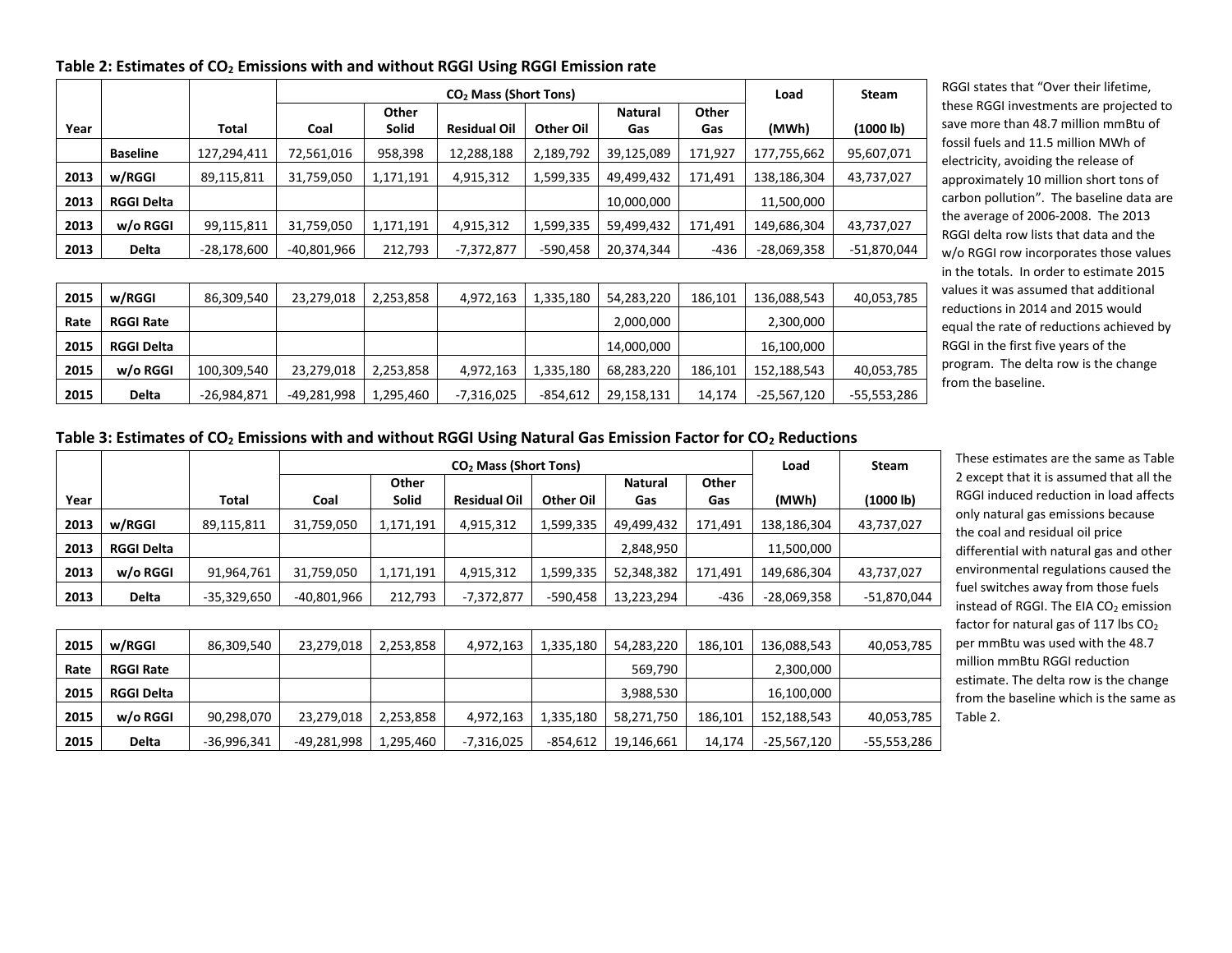|      |                   |               |             |           | CO <sub>2</sub> Mass (Short Tons) |            |            |         | Load        | Steam         |
|------|-------------------|---------------|-------------|-----------|-----------------------------------|------------|------------|---------|-------------|---------------|
|      |                   |               |             | Other     |                                   |            | Natural    | Other   |             |               |
| Year |                   | Total         | Coal        | Solid     | <b>Residual Oil</b>               | Other Oil  | Gas        | Gas     | (MWh)       | (1000 lb)     |
|      | <b>Baseline</b>   | 127,294,411   | 72,561,016  | 958,398   | 12,288,188                        | 2,189,792  | 39,125,089 | 171,927 | 177,755,662 | 95,607,071    |
| 2013 | w/RGGI            | 89,115,811    | 31,759,050  | 1,171,191 | 4,915,312                         | 1,599,335  | 49,499,432 | 171,491 | 138,186,304 | 43,737,027    |
| 2013 | <b>RGGI Delta</b> |               |             |           |                                   |            | 10,000,000 |         | 11,500,000  |               |
| 2013 | w/o RGGI          | 99,115,811    | 31,759,050  | 1,171,191 | 4,915,312                         | 1,599,335  | 59,499,432 | 171,491 | 149,686,304 | 43,737,027    |
| 2013 | Delta             | $-28,178,600$ | -40,801,966 | 212,793   | $-7,372,877$                      | -590,458   | 20,374,344 | -436    | -28,069,358 | $-51,870,044$ |
|      |                   |               |             |           |                                   |            |            |         |             |               |
| 2015 | w/RGGI            | 86,309,540    | 23,279,018  | 2,253,858 | 4,972,163                         | 1,335,180  | 54,283,220 | 186,101 | 136,088,543 | 40,053,785    |
| Rate | <b>RGGI Rate</b>  |               |             |           |                                   |            | 2,000,000  |         | 2,300,000   |               |
| 2015 | <b>RGGI Delta</b> |               |             |           |                                   |            | 14,000,000 |         | 16,100,000  |               |
| 2015 | w/o RGGI          | 100,309,540   | 23,279,018  | 2,253,858 | 4,972,163                         | 1,335,180  | 68,283,220 | 186,101 | 152,188,543 | 40,053,785    |
| 2015 | Delta             | $-26,984,871$ | -49,281,998 | 1,295,460 | -7,316,025                        | $-854,612$ | 29,158,131 | 14,174  | -25,567,120 | -55,553,286   |

**Table 2: Estimates of CO<sup>2</sup> Emissions with and without RGGI Using RGGI Emission rate**

RGGI states that "Over their lifetime, these RGGI investments are projected to save more than 48.7 million mmBtu of fossil fuels and 11.5 million MWh of electricity, avoiding the release of approximately 10 million short tons of carbon pollution". The baseline data are the average of 2006-2008. The 2013 RGGI delta row lists that data and the w/o RGGI row incorporates those values in the totals. In order to estimate 2015 values it was assumed that additional reductions in 2014 and 2015 would equal the rate of reductions achieved by RGGI in the first five years of the program. The delta row is the change from the baseline.

**Table 3: Estimates of CO<sup>2</sup> Emissions with and without RGGI Using Natural Gas Emission Factor for CO<sup>2</sup> Reductions**

|      |                   |               |             |              |                     | Load      | <b>Steam</b>   |         |               |             |
|------|-------------------|---------------|-------------|--------------|---------------------|-----------|----------------|---------|---------------|-------------|
|      |                   |               |             | Other        |                     |           | <b>Natural</b> | Other   |               |             |
| Year |                   | Total         | Coal        | <b>Solid</b> | <b>Residual Oil</b> | Other Oil | Gas            | Gas     | (MWh)         | (1000 lb)   |
| 2013 | w/RGGI            | 89,115,811    | 31,759,050  | 1,171,191    | 4,915,312           | 1,599,335 | 49,499,432     | 171,491 | 138,186,304   | 43,737,027  |
| 2013 | <b>RGGI Delta</b> |               |             |              |                     |           | 2,848,950      |         | 11,500,000    |             |
| 2013 | w/o RGGI          | 91,964,761    | 31,759,050  | 1,171,191    | 4,915,312           | 1,599,335 | 52,348,382     | 171,491 | 149,686,304   | 43,737,027  |
| 2013 | <b>Delta</b>      | $-35,329,650$ | -40,801,966 | 212,793      | $-7,372,877$        | -590,458  | 13,223,294     | $-436$  | $-28,069,358$ | -51,870,044 |

| 2015 | w/RGGI            | 86,309,540    | 23,279,018  | 2,253,858 | 4,972,163  | 1.335.180 | 54.283.220 | 186.101 | 136,088,543 | 40,053,785  |
|------|-------------------|---------------|-------------|-----------|------------|-----------|------------|---------|-------------|-------------|
| Rate | <b>RGGI Rate</b>  |               |             |           |            |           | 569.790    |         | 2,300,000   |             |
| 2015 | <b>RGGI Delta</b> |               |             |           |            |           | 3,988,530  |         | 16,100,000  |             |
| 2015 | w/o RGGI          | 90,298,070    | 23,279,018  | 2,253,858 | 4.972.163  | 1.335.180 | 58,271,750 | 186.101 | 152,188,543 | 40,053,785  |
| 2015 | Delta             | $-36,996,341$ | -49,281,998 | 1,295,460 | -7,316,025 | -854,612  | 19,146,661 | 14,174  | -25,567,120 | -55,553,286 |

These estimates are the same as Table 2 except that it is assumed that all the RGGI induced reduction in load affects only natural gas emissions because the coal and residual oil price differential with natural gas and other environmental regulations caused the fuel switches away from those fuels instead of RGGI. The EIA CO<sub>2</sub> emission factor for natural gas of 117 lbs  $CO<sub>2</sub>$ per mmBtu was used with the 48.7 million mmBtu RGGI reduction estimate. The delta row is the change from the baseline which is the same as Table 2.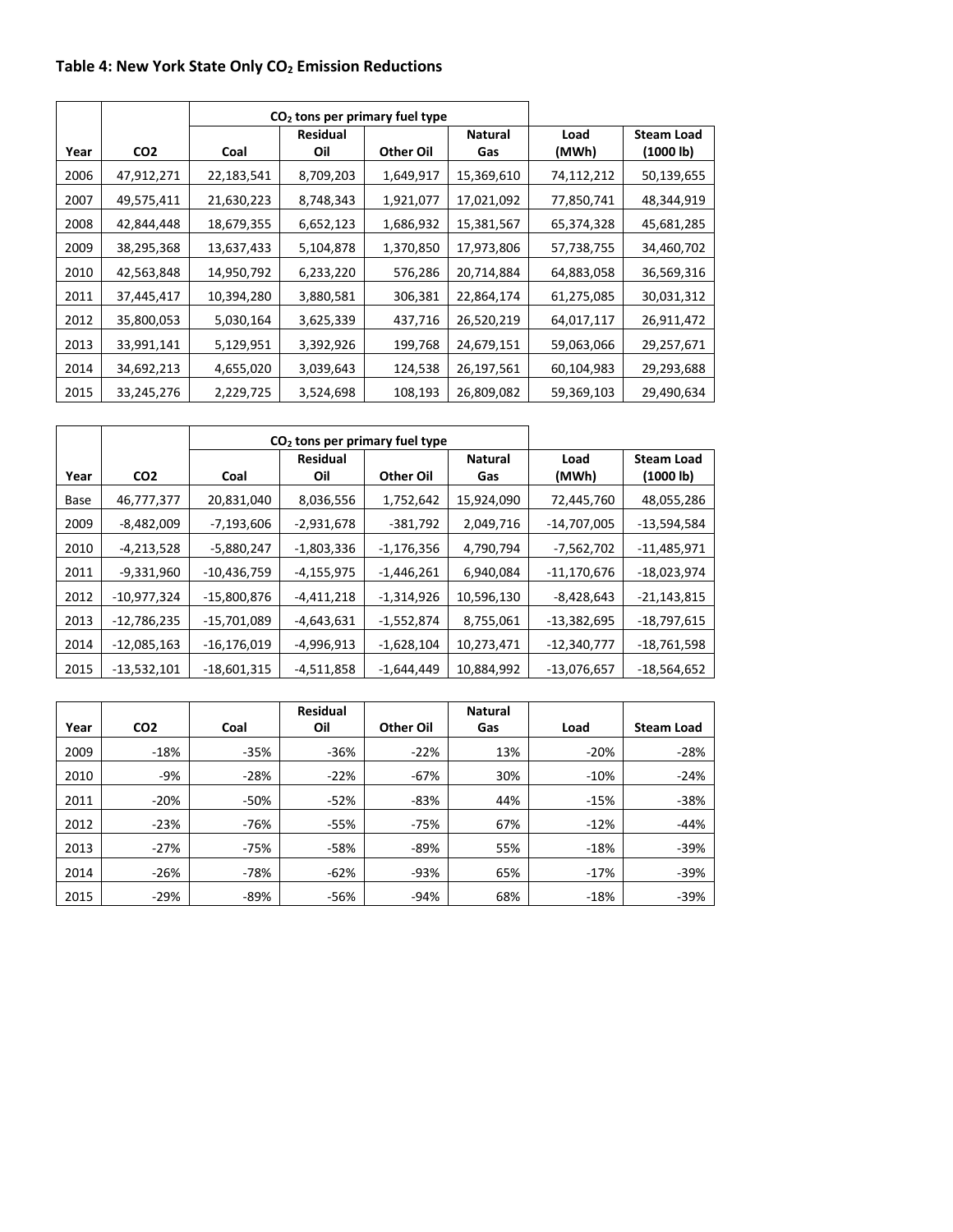# **Table 4: New York State Only CO<sup>2</sup> Emission Reductions**

|      |                 |            | $CO2$ tons per primary fuel type |           |                       |               |                                |
|------|-----------------|------------|----------------------------------|-----------|-----------------------|---------------|--------------------------------|
| Year | CO <sub>2</sub> | Coal       | <b>Residual</b><br>Oil           | Other Oil | <b>Natural</b><br>Gas | Load<br>(MWh) | <b>Steam Load</b><br>(1000 lb) |
| 2006 | 47,912,271      | 22,183,541 | 8,709,203                        | 1,649,917 | 15,369,610            | 74,112,212    | 50,139,655                     |
| 2007 | 49,575,411      | 21,630,223 | 8,748,343                        | 1,921,077 | 17,021,092            | 77,850,741    | 48,344,919                     |
| 2008 | 42,844,448      | 18,679,355 | 6,652,123                        | 1,686,932 | 15,381,567            | 65,374,328    | 45,681,285                     |
| 2009 | 38,295,368      | 13,637,433 | 5,104,878                        | 1,370,850 | 17,973,806            | 57,738,755    | 34,460,702                     |
| 2010 | 42,563,848      | 14,950,792 | 6,233,220                        | 576,286   | 20,714,884            | 64,883,058    | 36,569,316                     |
| 2011 | 37,445,417      | 10,394,280 | 3,880,581                        | 306,381   | 22,864,174            | 61,275,085    | 30,031,312                     |
| 2012 | 35,800,053      | 5,030,164  | 3,625,339                        | 437,716   | 26,520,219            | 64,017,117    | 26,911,472                     |
| 2013 | 33,991,141      | 5,129,951  | 3,392,926                        | 199,768   | 24,679,151            | 59,063,066    | 29,257,671                     |
| 2014 | 34,692,213      | 4,655,020  | 3,039,643                        | 124,538   | 26,197,561            | 60,104,983    | 29,293,688                     |
| 2015 | 33,245,276      | 2,229,725  | 3,524,698                        | 108,193   | 26,809,082            | 59,369,103    | 29,490,634                     |

|      |                 |               | $CO2$ tons per primary fuel type |              |                       |               |                                |
|------|-----------------|---------------|----------------------------------|--------------|-----------------------|---------------|--------------------------------|
| Year | CO <sub>2</sub> | Coal          | <b>Residual</b><br>Oil           | Other Oil    | <b>Natural</b><br>Gas | Load<br>(MWh) | <b>Steam Load</b><br>(1000 lb) |
| Base | 46,777,377      | 20,831,040    | 8,036,556                        | 1,752,642    | 15,924,090            | 72,445,760    | 48,055,286                     |
| 2009 | $-8,482,009$    | $-7,193,606$  | $-2,931,678$                     | -381,792     | 2,049,716             | -14,707,005   | $-13,594,584$                  |
| 2010 | $-4,213,528$    | -5,880,247    | $-1,803,336$                     | -1,176,356   | 4,790,794             | $-7,562,702$  | $-11,485,971$                  |
| 2011 | -9,331,960      | $-10,436,759$ | -4,155,975                       | -1,446,261   | 6,940,084             | $-11,170,676$ | $-18,023,974$                  |
| 2012 | $-10,977,324$   | -15,800,876   | -4,411,218                       | -1,314,926   | 10,596,130            | $-8,428,643$  | $-21,143,815$                  |
| 2013 | $-12,786,235$   | -15,701,089   | -4,643,631                       | $-1,552,874$ | 8,755,061             | $-13,382,695$ | $-18,797,615$                  |
| 2014 | $-12,085,163$   | $-16,176,019$ | $-4,996,913$                     | $-1,628,104$ | 10,273,471            | $-12,340,777$ | $-18,761,598$                  |
| 2015 | $-13,532,101$   | -18,601,315   | -4,511,858                       | -1,644,449   | 10,884,992            | $-13,076,657$ | -18,564,652                    |

|      |                 |        | <b>Residual</b> |           | <b>Natural</b> |        |                   |
|------|-----------------|--------|-----------------|-----------|----------------|--------|-------------------|
| Year | CO <sub>2</sub> | Coal   | Oil             | Other Oil | Gas            | Load   | <b>Steam Load</b> |
| 2009 | $-18%$          | $-35%$ | $-36%$          | $-22%$    | 13%            | -20%   | $-28%$            |
| 2010 | $-9%$           | $-28%$ | $-22%$          | $-67%$    | 30%            | $-10%$ | $-24%$            |
| 2011 | $-20%$          | $-50%$ | $-52%$          | $-83%$    | 44%            | $-15%$ | $-38%$            |
| 2012 | $-23%$          | -76%   | $-55%$          | $-75%$    | 67%            | $-12%$ | $-44%$            |
| 2013 | $-27%$          | -75%   | $-58%$          | $-89%$    | 55%            | $-18%$ | $-39%$            |
| 2014 | $-26%$          | $-78%$ | $-62%$          | $-93%$    | 65%            | $-17%$ | $-39%$            |
| 2015 | $-29%$          | -89%   | $-56%$          | $-94%$    | 68%            | -18%   | $-39%$            |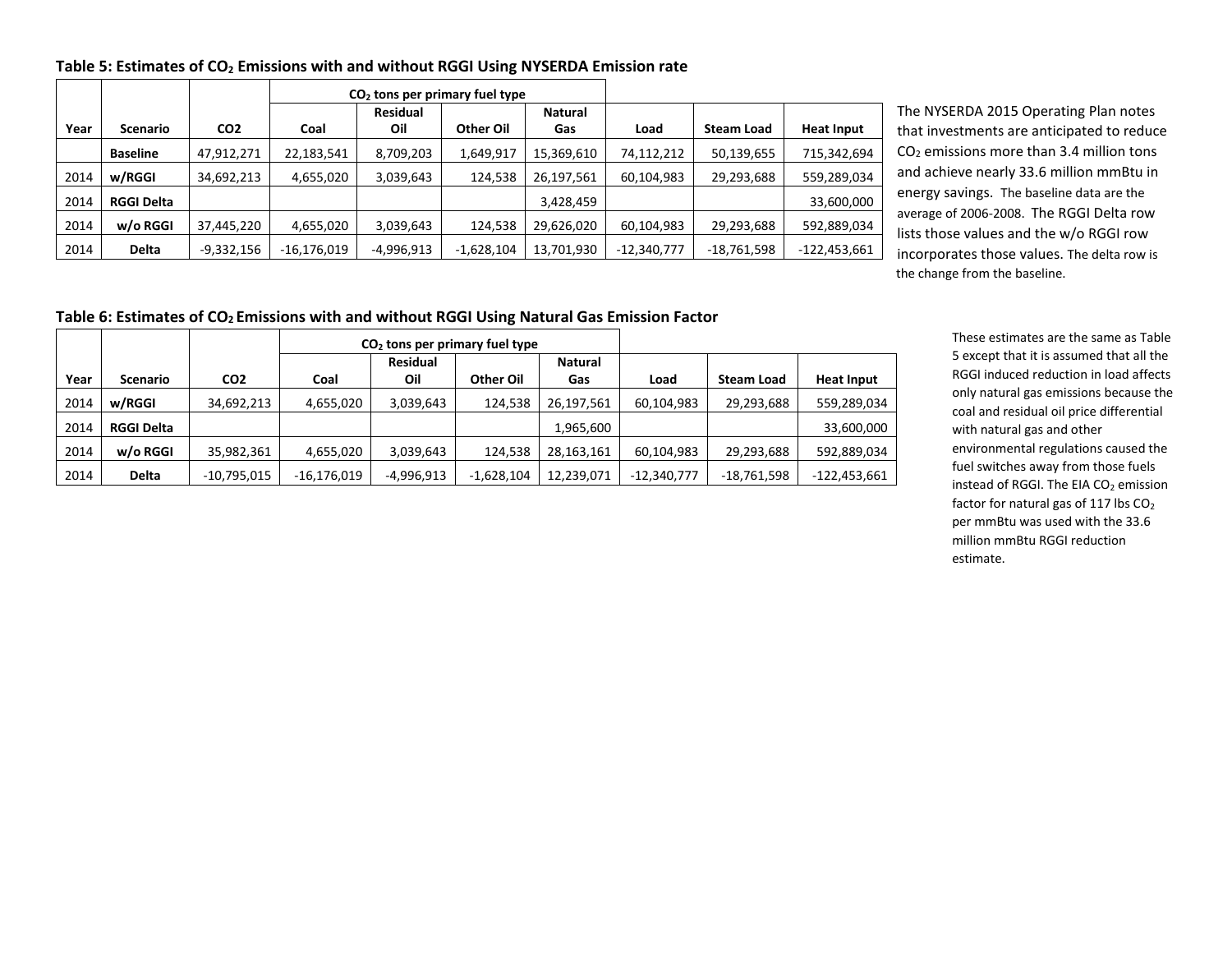| Table 5: Estimates of CO <sub>2</sub> Emissions with and without RGGI Using NYSERDA Emission rate |  |  |
|---------------------------------------------------------------------------------------------------|--|--|
|---------------------------------------------------------------------------------------------------|--|--|

|      |                   |                 | $CO2$ tons per primary fuel type |                 |              |                |               |                   |                   |
|------|-------------------|-----------------|----------------------------------|-----------------|--------------|----------------|---------------|-------------------|-------------------|
|      |                   |                 |                                  | <b>Residual</b> |              | <b>Natural</b> |               |                   |                   |
| Year | <b>Scenario</b>   | CO <sub>2</sub> | Coal                             | Oil             | Other Oil    | Gas            | Load          | <b>Steam Load</b> | <b>Heat Input</b> |
|      | <b>Baseline</b>   | 47,912,271      | 22,183,541                       | 8,709,203       | 1,649,917    | 15,369,610     | 74,112,212    | 50,139,655        | 715,342,694       |
| 2014 | w/RGGI            | 34,692,213      | 4,655,020                        | 3,039,643       | 124,538      | 26,197,561     | 60,104,983    | 29,293,688        | 559,289,034       |
| 2014 | <b>RGGI Delta</b> |                 |                                  |                 |              | 3,428,459      |               |                   | 33,600,000        |
| 2014 | w/o RGGI          | 37,445,220      | 4,655,020                        | 3,039,643       | 124,538      | 29,626,020     | 60,104,983    | 29,293,688        | 592,889,034       |
| 2014 | <b>Delta</b>      | -9,332,156      | -16,176,019                      | -4,996,913      | $-1,628,104$ | 13,701,930     | $-12,340,777$ | $-18,761,598$     | -122,453,661      |

The NYSERDA 2015 Operating Plan notes that investments are anticipated to reduce CO<sup>2</sup> emissions more than 3.4 million tons and achieve nearly 33.6 million mmBtu in energy savings. The baseline data are the average of 2006-2008. The RGGI Delta row lists those values and the w/o RGGI row incorporates those values. The delta row is the change from the baseline.

### **Table 6: Estimates of CO2 Emissions with and without RGGI Using Natural Gas Emission Factor**

|      |                   |                 |               | $CO2$ tons per primary fuel type |              |                       |               |                   |                   |
|------|-------------------|-----------------|---------------|----------------------------------|--------------|-----------------------|---------------|-------------------|-------------------|
| Year | <b>Scenario</b>   | CO <sub>2</sub> | Coal          | <b>Residual</b><br>Oil           | Other Oil    | <b>Natural</b><br>Gas | Load          | <b>Steam Load</b> | <b>Heat Input</b> |
| 2014 | w/RGGI            | 34,692,213      | 4,655,020     | 3,039,643                        | 124,538      | 26,197,561            | 60,104,983    | 29,293,688        | 559,289,034       |
| 2014 | <b>RGGI Delta</b> |                 |               |                                  |              | 1,965,600             |               |                   | 33,600,000        |
| 2014 | w/o RGGI          | 35,982,361      | 4,655,020     | 3,039,643                        | 124,538      | 28,163,161            | 60,104,983    | 29,293,688        | 592,889,034       |
| 2014 | <b>Delta</b>      | $-10,795,015$   | $-16,176,019$ | $-4,996,913$                     | $-1,628,104$ | 12,239,071            | $-12,340,777$ | -18,761,598       | $-122,453,661$    |

These estimates are the same as Table 5 except that it is assumed that all the RGGI induced reduction in load affects only natural gas emissions because the coal and residual oil price differential with natural gas and other environmental regulations caused the fuel switches away from those fuels instead of RGGI. The EIA CO<sub>2</sub> emission factor for natural gas of 117 lbs CO<sub>2</sub> per mmBtu was used with the 33.6 million mmBtu RGGI reduction estimate.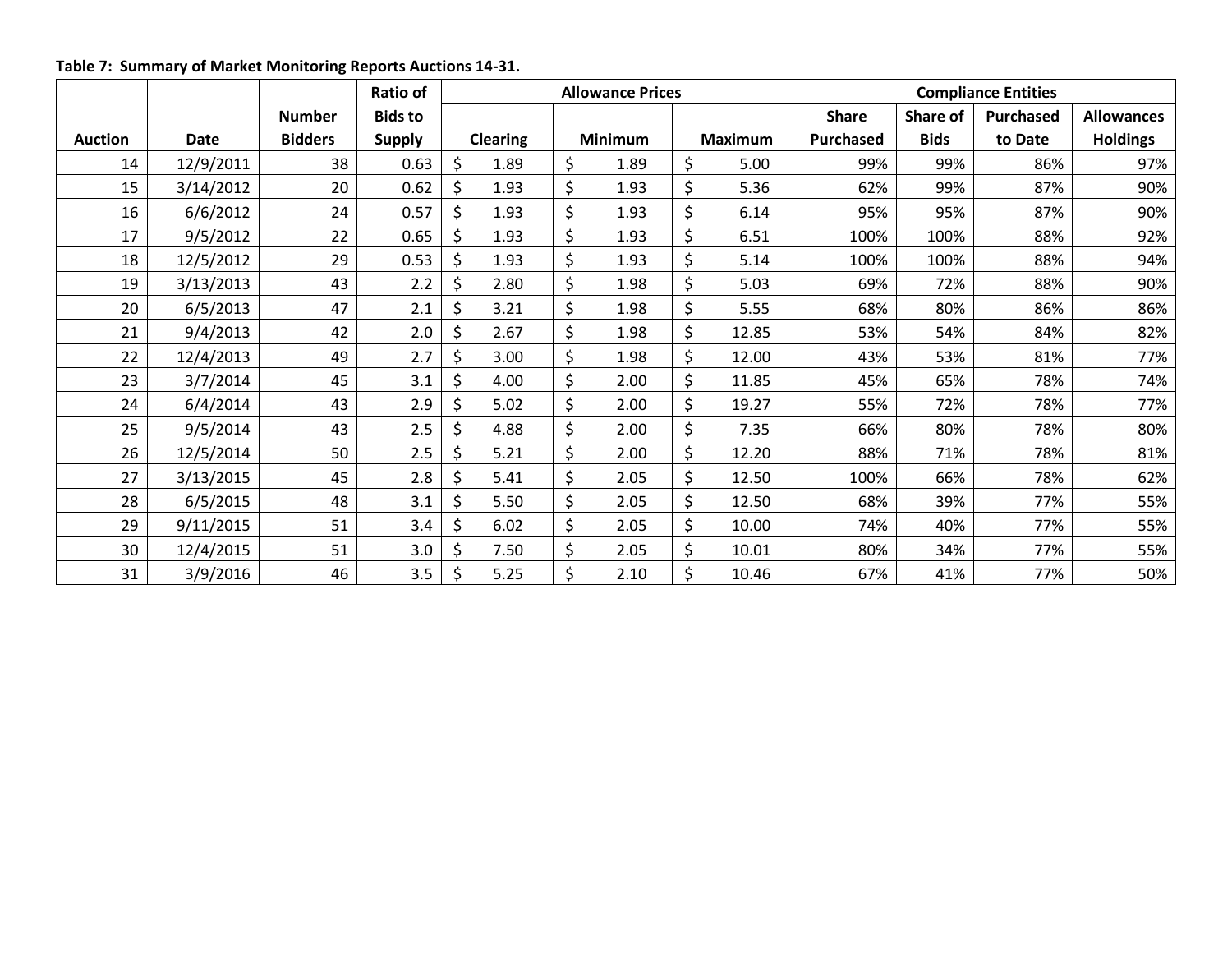**Table 7: Summary of Market Monitoring Reports Auctions 14-31.**

|                |             |                | Ratio of       | <b>Allowance Prices</b> |                 |    |         | <b>Compliance Entities</b> |              |             |                  |                   |
|----------------|-------------|----------------|----------------|-------------------------|-----------------|----|---------|----------------------------|--------------|-------------|------------------|-------------------|
|                |             | <b>Number</b>  | <b>Bids to</b> |                         |                 |    |         |                            | <b>Share</b> | Share of    | <b>Purchased</b> | <b>Allowances</b> |
| <b>Auction</b> | <b>Date</b> | <b>Bidders</b> | <b>Supply</b>  |                         | <b>Clearing</b> |    | Minimum | <b>Maximum</b>             | Purchased    | <b>Bids</b> | to Date          | <b>Holdings</b>   |
| 14             | 12/9/2011   | 38             | 0.63           | \$                      | 1.89            | \$ | 1.89    | \$<br>5.00                 | 99%          | 99%         | 86%              | 97%               |
| 15             | 3/14/2012   | 20             | 0.62           | \$                      | 1.93            | \$ | 1.93    | \$<br>5.36                 | 62%          | 99%         | 87%              | 90%               |
| 16             | 6/6/2012    | 24             | 0.57           | \$                      | 1.93            | \$ | 1.93    | \$<br>6.14                 | 95%          | 95%         | 87%              | 90%               |
| 17             | 9/5/2012    | 22             | 0.65           | Ś                       | 1.93            | \$ | 1.93    | \$<br>6.51                 | 100%         | 100%        | 88%              | 92%               |
| 18             | 12/5/2012   | 29             | 0.53           | \$                      | 1.93            | \$ | 1.93    | \$<br>5.14                 | 100%         | 100%        | 88%              | 94%               |
| 19             | 3/13/2013   | 43             | 2.2            | \$                      | 2.80            | \$ | 1.98    | \$<br>5.03                 | 69%          | 72%         | 88%              | 90%               |
| 20             | 6/5/2013    | 47             | 2.1            | \$                      | 3.21            | \$ | 1.98    | \$<br>5.55                 | 68%          | 80%         | 86%              | 86%               |
| 21             | 9/4/2013    | 42             | 2.0            | \$                      | 2.67            | \$ | 1.98    | \$<br>12.85                | 53%          | 54%         | 84%              | 82%               |
| 22             | 12/4/2013   | 49             | 2.7            | \$                      | 3.00            | \$ | 1.98    | \$<br>12.00                | 43%          | 53%         | 81%              | 77%               |
| 23             | 3/7/2014    | 45             | 3.1            | \$                      | 4.00            | \$ | 2.00    | \$<br>11.85                | 45%          | 65%         | 78%              | 74%               |
| 24             | 6/4/2014    | 43             | 2.9            |                         | 5.02            | \$ | 2.00    | \$<br>19.27                | 55%          | 72%         | 78%              | 77%               |
| 25             | 9/5/2014    | 43             | 2.5            | \$                      | 4.88            | \$ | 2.00    | \$<br>7.35                 | 66%          | 80%         | 78%              | 80%               |
| 26             | 12/5/2014   | 50             | 2.5            |                         | 5.21            | \$ | 2.00    | \$<br>12.20                | 88%          | 71%         | 78%              | 81%               |
| 27             | 3/13/2015   | 45             | 2.8            | \$                      | 5.41            | \$ | 2.05    | \$<br>12.50                | 100%         | 66%         | 78%              | 62%               |
| 28             | 6/5/2015    | 48             | 3.1            | \$                      | 5.50            | \$ | 2.05    | \$<br>12.50                | 68%          | 39%         | 77%              | 55%               |
| 29             | 9/11/2015   | 51             | 3.4            | \$                      | 6.02            | \$ | 2.05    | \$<br>10.00                | 74%          | 40%         | 77%              | 55%               |
| 30             | 12/4/2015   | 51             | 3.0            | Ś                       | 7.50            | \$ | 2.05    | \$<br>10.01                | 80%          | 34%         | 77%              | 55%               |
| 31             | 3/9/2016    | 46             | 3.5            | \$                      | 5.25            | \$ | 2.10    | \$<br>10.46                | 67%          | 41%         | 77%              | 50%               |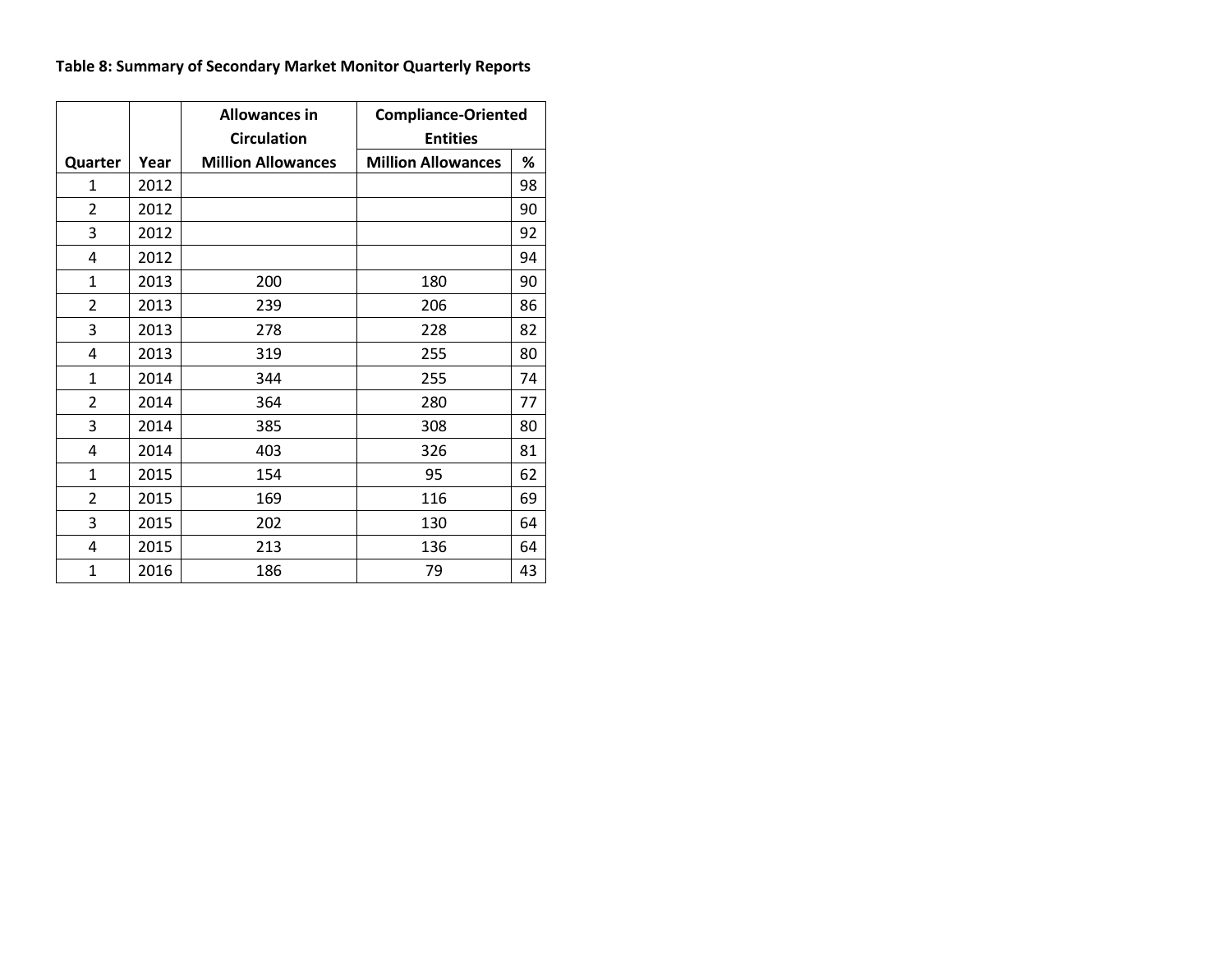# **Table 8: Summary of Secondary Market Monitor Quarterly Reports**

|                |      | <b>Allowances in</b>      | <b>Compliance-Oriented</b> |    |  |  |
|----------------|------|---------------------------|----------------------------|----|--|--|
|                |      | <b>Circulation</b>        | <b>Entities</b>            |    |  |  |
| Quarter        | Year | <b>Million Allowances</b> | <b>Million Allowances</b>  | %  |  |  |
| 1              | 2012 |                           |                            | 98 |  |  |
| 2              | 2012 |                           |                            | 90 |  |  |
| 3              | 2012 |                           |                            | 92 |  |  |
| 4              | 2012 |                           |                            | 94 |  |  |
| 1              | 2013 | 200                       | 180                        | 90 |  |  |
| 2              | 2013 | 239                       | 206                        | 86 |  |  |
| 3              | 2013 | 278                       | 228                        | 82 |  |  |
| 4              | 2013 | 319                       | 255                        | 80 |  |  |
| 1              | 2014 | 344                       | 255                        | 74 |  |  |
| $\overline{2}$ | 2014 | 364                       | 280                        | 77 |  |  |
| 3              | 2014 | 385                       | 308                        | 80 |  |  |
| 4              | 2014 | 403                       | 326                        | 81 |  |  |
| 1              | 2015 | 154                       | 95                         | 62 |  |  |
| $\overline{2}$ | 2015 | 169                       | 116                        | 69 |  |  |
| 3              | 2015 | 202                       | 130                        | 64 |  |  |
| 4              | 2015 | 213                       | 136                        | 64 |  |  |
| $\mathbf{1}$   | 2016 | 186                       | 79                         | 43 |  |  |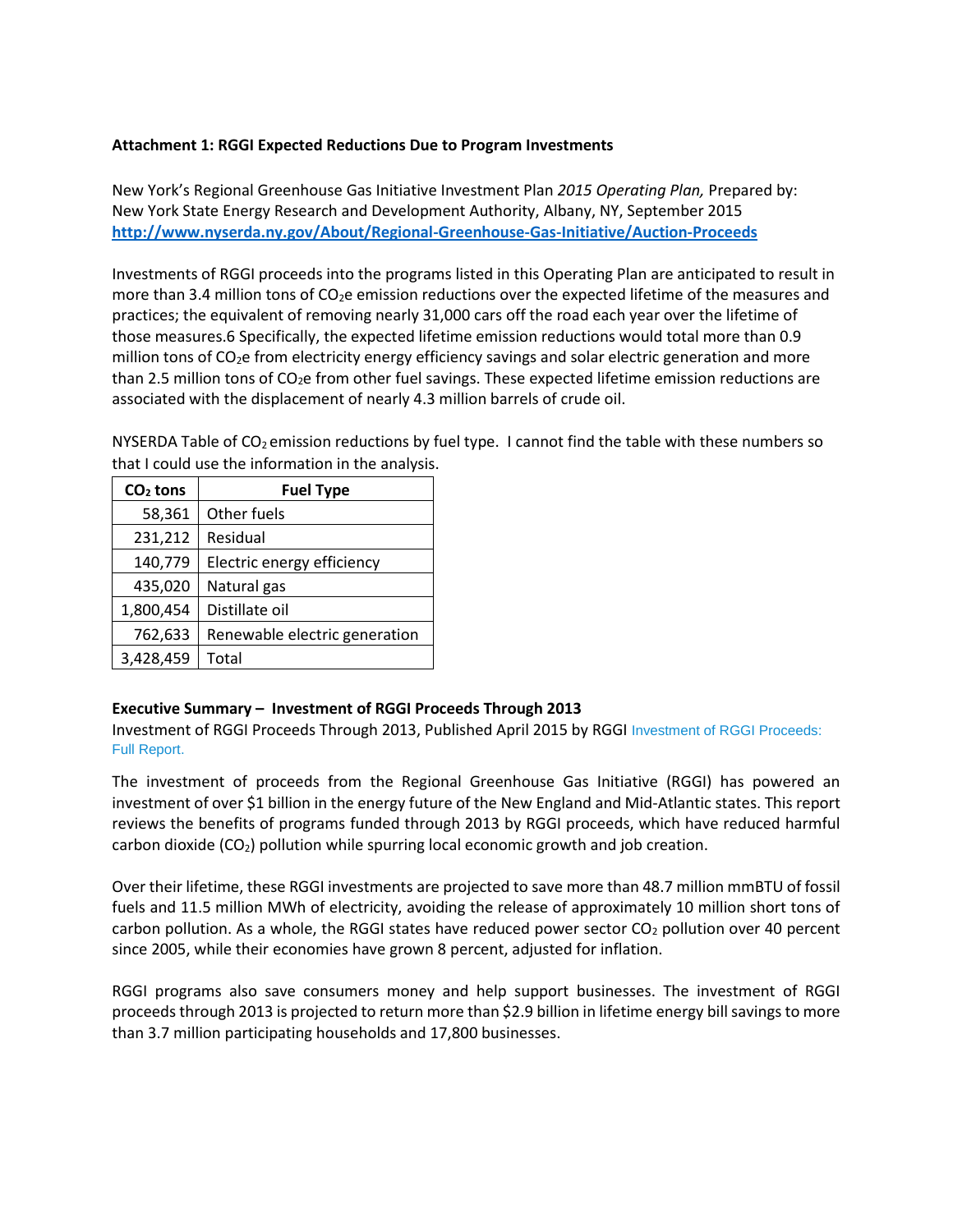# **Attachment 1: RGGI Expected Reductions Due to Program Investments**

New York's Regional Greenhouse Gas Initiative Investment Plan *2015 Operating Plan,* Prepared by: New York State Energy Research and Development Authority, Albany, NY, September 2015 **<http://www.nyserda.ny.gov/About/Regional-Greenhouse-Gas-Initiative/Auction-Proceeds>**

Investments of RGGI proceeds into the programs listed in this Operating Plan are anticipated to result in more than 3.4 million tons of CO<sub>2</sub>e emission reductions over the expected lifetime of the measures and practices; the equivalent of removing nearly 31,000 cars off the road each year over the lifetime of those measures.6 Specifically, the expected lifetime emission reductions would total more than 0.9 million tons of CO<sub>2</sub>e from electricity energy efficiency savings and solar electric generation and more than 2.5 million tons of  $CO<sub>2</sub>e$  from other fuel savings. These expected lifetime emission reductions are associated with the displacement of nearly 4.3 million barrels of crude oil.

NYSERDA Table of  $CO<sub>2</sub>$  emission reductions by fuel type. I cannot find the table with these numbers so that I could use the information in the analysis.

| $CO2$ tons | <b>Fuel Type</b>              |  |  |
|------------|-------------------------------|--|--|
| 58,361     | Other fuels                   |  |  |
| 231,212    | Residual                      |  |  |
| 140,779    | Electric energy efficiency    |  |  |
| 435,020    | Natural gas                   |  |  |
| 1,800,454  | Distillate oil                |  |  |
| 762,633    | Renewable electric generation |  |  |
| 3,428,459  | Total                         |  |  |

### **Executive Summary – Investment of RGGI Proceeds Through 2013**

Investment of RGGI Proceeds Through 2013, Published April 2015 by RGGI [Investment of RGGI Proceeds:](https://www.rggi.org/docs/ProceedsReport/Investment-RGGI-Proceeds-Through-2013.pdf)  [Full Report.](https://www.rggi.org/docs/ProceedsReport/Investment-RGGI-Proceeds-Through-2013.pdf)

The investment of proceeds from the Regional Greenhouse Gas Initiative (RGGI) has powered an investment of over \$1 billion in the energy future of the New England and Mid-Atlantic states. This report reviews the benefits of programs funded through 2013 by RGGI proceeds, which have reduced harmful carbon dioxide  $(CO<sub>2</sub>)$  pollution while spurring local economic growth and job creation.

Over their lifetime, these RGGI investments are projected to save more than 48.7 million mmBTU of fossil fuels and 11.5 million MWh of electricity, avoiding the release of approximately 10 million short tons of carbon pollution. As a whole, the RGGI states have reduced power sector  $CO<sub>2</sub>$  pollution over 40 percent since 2005, while their economies have grown 8 percent, adjusted for inflation.

RGGI programs also save consumers money and help support businesses. The investment of RGGI proceeds through 2013 is projected to return more than \$2.9 billion in lifetime energy bill savings to more than 3.7 million participating households and 17,800 businesses.